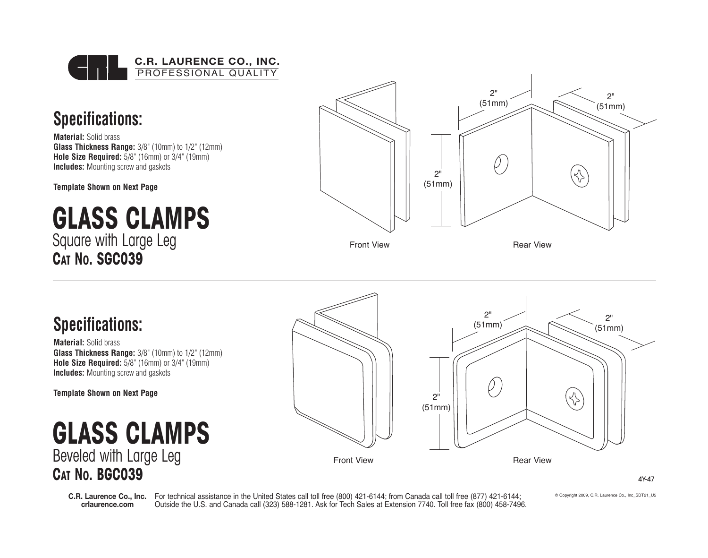

## **Specifications:**

**Material:** Solid brass **Glass Thickness Range:** 3/8" (10mm) to 1/2" (12mm) **Hole Size Required:** 5/8" (16mm) or 3/4" (19mm) **Includes:** Mounting screw and gaskets

**Template Shown on Next Page**

# **GLASS CLAMPS** Square with Large Leg **CAT NO. SGC039**



### **Specifications:**

**Material:** Solid brass **Glass Thickness Range:** 3/8" (10mm) to 1/2" (12mm) **Hole Size Required:** 5/8" (16mm) or 3/4" (19mm) **Includes:** Mounting screw and gaskets

**Template Shown on Next Page**

**GLASS CLAMPS** Beveled with Large Leg **CAT NO. BGC039**



4Y-47

**crlaurence.com**

**C.R. Laurence Co., Inc.** For technical assistance in the United States call toll free (800) 421-6144; from Canada call toll free (877) 421-6144; Outside the U.S. and Canada call (323) 588-1281. Ask for Tech Sales at Extension 7740. Toll free fax (800) 458-7496. © Copyright 2009, C.R. Laurence Co., Inc\_SDT21\_U5